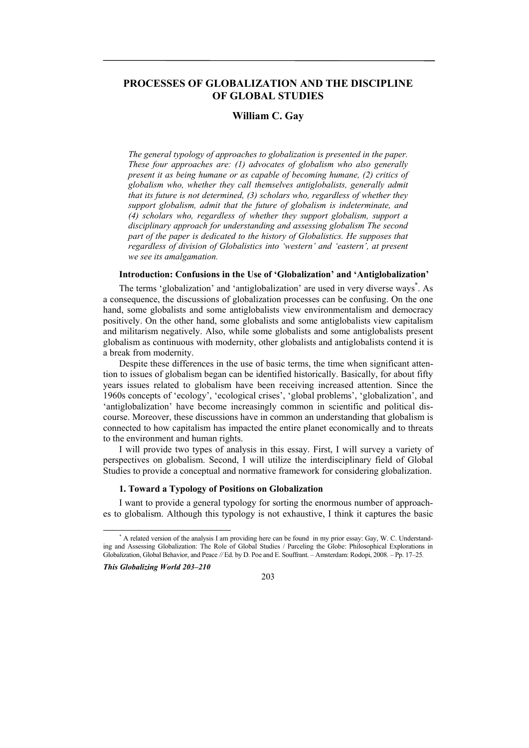# **PROCESSES OF GLOBALIZATION AND THE DISCIPLINE OF GLOBAL STUDIES**

# **William C. Gay**

*The general typology of approaches to globalization is presented in the paper. These four approaches are: (1) advocates of globalism who also generally present it as being humane or as capable of becoming humane, (2) critics of globalism who, whether they call themselves antiglobalists, generally admit that its future is not determined, (3) scholars who, regardless of whether they support globalism, admit that the future of globalism is indeterminate, and (4) scholars who, regardless of whether they support globalism, support a disciplinary approach for understanding and assessing globalism The second part of the paper is dedicated to the history of Globalistics. He supposes that regardless of division of Globalistics into 'western' and 'eastern', at present we see its amalgamation.* 

#### **Introduction: Confusions in the Use of 'Globalization' and 'Antiglobalization'**

The terms 'globalization' and 'antiglobalization' are used in very diverse ways\* . As a consequence, the discussions of globalization processes can be confusing. On the one hand, some globalists and some antiglobalists view environmentalism and democracy positively. On the other hand, some globalists and some antiglobalists view capitalism and militarism negatively. Also, while some globalists and some antiglobalists present globalism as continuous with modernity, other globalists and antiglobalists contend it is a break from modernity.

Despite these differences in the use of basic terms, the time when significant attention to issues of globalism began can be identified historically. Basically, for about fifty years issues related to globalism have been receiving increased attention. Since the 1960s concepts of 'ecology', 'ecological crises', 'global problems', 'globalization', and 'antiglobalization' have become increasingly common in scientific and political discourse. Moreover, these discussions have in common an understanding that globalism is connected to how capitalism has impacted the entire planet economically and to threats to the environment and human rights.

I will provide two types of analysis in this essay. First, I will survey a variety of perspectives on globalism. Second, I will utilize the interdisciplinary field of Global Studies to provide a conceptual and normative framework for considering globalization.

## **1. Toward a Typology of Positions on Globalization**

I want to provide a general typology for sorting the enormous number of approaches to globalism. Although this typology is not exhaustive, I think it captures the basic

*This Globalizing World 203–210* 



 <sup>\*</sup> \* A related version of the analysis I am providing here can be found in my prior essay: Gay, W. C. Understanding and Assessing Globalization: The Role of Global Studies / Parceling the Globe: Philosophical Explorations in Globalization, Global Behavior, and Peace *//* Ed. by D. Poe and E. Souffrant. – Amsterdam: Rodopi, 2008. – Pp. 17–25*.*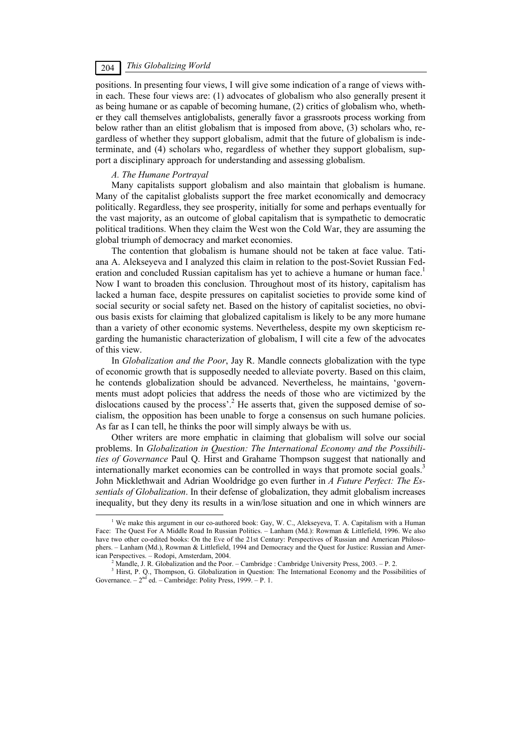# *This Globalizing World* 204

positions. In presenting four views, I will give some indication of a range of views within each. These four views are: (1) advocates of globalism who also generally present it as being humane or as capable of becoming humane, (2) critics of globalism who, whether they call themselves antiglobalists, generally favor a grassroots process working from below rather than an elitist globalism that is imposed from above, (3) scholars who, regardless of whether they support globalism, admit that the future of globalism is indeterminate, and (4) scholars who, regardless of whether they support globalism, support a disciplinary approach for understanding and assessing globalism.

### *A. The Humane Portrayal*

Many capitalists support globalism and also maintain that globalism is humane. Many of the capitalist globalists support the free market economically and democracy politically. Regardless, they see prosperity, initially for some and perhaps eventually for the vast majority, as an outcome of global capitalism that is sympathetic to democratic political traditions. When they claim the West won the Cold War, they are assuming the global triumph of democracy and market economies.

The contention that globalism is humane should not be taken at face value. Tatiana A. Alekseyeva and I analyzed this claim in relation to the post-Soviet Russian Federation and concluded Russian capitalism has yet to achieve a humane or human face.<sup>1</sup> Now I want to broaden this conclusion. Throughout most of its history, capitalism has lacked a human face, despite pressures on capitalist societies to provide some kind of social security or social safety net. Based on the history of capitalist societies, no obvious basis exists for claiming that globalized capitalism is likely to be any more humane than a variety of other economic systems. Nevertheless, despite my own skepticism regarding the humanistic characterization of globalism, I will cite a few of the advocates of this view.

In *Globalization and the Poor*, Jay R. Mandle connects globalization with the type of economic growth that is supposedly needed to alleviate poverty. Based on this claim, he contends globalization should be advanced. Nevertheless, he maintains, 'governments must adopt policies that address the needs of those who are victimized by the dislocations caused by the process'.<sup>2</sup> He asserts that, given the supposed demise of socialism, the opposition has been unable to forge a consensus on such humane policies. As far as I can tell, he thinks the poor will simply always be with us.

Other writers are more emphatic in claiming that globalism will solve our social problems. In *Globalization in Question: The International Economy and the Possibilities of Governance* Paul Q. Hirst and Grahame Thompson suggest that nationally and internationally market economies can be controlled in ways that promote social goals.<sup>3</sup> John Micklethwait and Adrian Wooldridge go even further in *A Future Perfect: The Essentials of Globalization*. In their defense of globalization, they admit globalism increases inequality, but they deny its results in a win/lose situation and one in which winners are

 $\frac{1}{1}$ <sup>1</sup> We make this argument in our co-authored book: Gay, W. C., Alekseyeva, T. A. Capitalism with a Human Face: The Quest For A Middle Road In Russian Politics. – Lanham (Md.): Rowman & Littlefield, 1996. We also have two other co-edited books: On the Eve of the 21st Century: Perspectives of Russian and American Philosophers. – Lanham (Md.), Rowman & Littlefield, 1994 and Democracy and the Quest for Justice: Russian and American Perspectives. - Rodopi, Amsterdam, 2004.

Mandle, J. R. Globalization and the Poor. – Cambridge : Cambridge University Press, 2003. – P. 2.

<sup>&</sup>lt;sup>3</sup> Hirst, P. Q., Thompson, G. Globalization in Question: The International Economy and the Possibilities of Governance.  $-2<sup>nd</sup>$  ed.  $-$  Cambridge: Polity Press, 1999.  $-$  P. 1.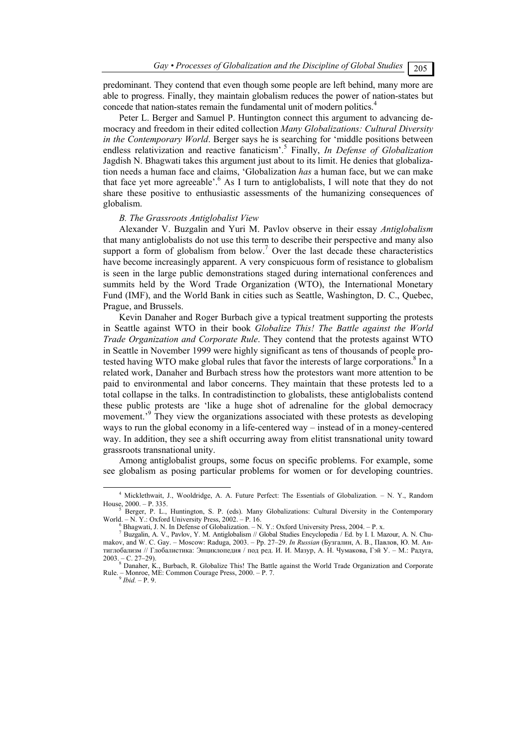predominant. They contend that even though some people are left behind, many more are able to progress. Finally, they maintain globalism reduces the power of nation-states but concede that nation-states remain the fundamental unit of modern politics.<sup>4</sup>

Peter L. Berger and Samuel P. Huntington connect this argument to advancing democracy and freedom in their edited collection *Many Globalizations: Cultural Diversity in the Contemporary World*. Berger says he is searching for 'middle positions between endless relativization and reactive fanaticism'.<sup>5</sup> Finally, *In Defense of Globalization* Jagdish N. Bhagwati takes this argument just about to its limit. He denies that globalization needs a human face and claims, 'Globalization *has* a human face, but we can make that face yet more agreeable'.<sup>6</sup> As I turn to antiglobalists, I will note that they do not share these positive to enthusiastic assessments of the humanizing consequences of globalism.

#### *B. The Grassroots Antiglobalist View*

Alexander V. Buzgalin and Yuri M. Pavlov observe in their essay *Antiglobalism* that many antiglobalists do not use this term to describe their perspective and many also support a form of globalism from below.<sup>7</sup> Over the last decade these characteristics have become increasingly apparent. A very conspicuous form of resistance to globalism is seen in the large public demonstrations staged during international conferences and summits held by the Word Trade Organization (WTO), the International Monetary Fund (IMF), and the World Bank in cities such as Seattle, Washington, D. C., Quebec, Prague, and Brussels.

Kevin Danaher and Roger Burbach give a typical treatment supporting the protests in Seattle against WTO in their book *Globalize This! The Battle against the World Trade Organization and Corporate Rule*. They contend that the protests against WTO in Seattle in November 1999 were highly significant as tens of thousands of people protested having WTO make global rules that favor the interests of large corporations. $8 \text{ In a}$ related work, Danaher and Burbach stress how the protestors want more attention to be paid to environmental and labor concerns. They maintain that these protests led to a total collapse in the talks. In contradistinction to globalists, these antiglobalists contend these public protests are 'like a huge shot of adrenaline for the global democracy movement.<sup>39</sup> They view the organizations associated with these protests as developing ways to run the global economy in a life-centered way – instead of in a money-centered way. In addition, they see a shift occurring away from elitist transnational unity toward grassroots transnational unity.

Among antiglobalist groups, some focus on specific problems. For example, some see globalism as posing particular problems for women or for developing countries.

 $\overline{4}$ <sup>4</sup> Micklethwait, J., Wooldridge, A. A. Future Perfect: The Essentials of Globalization. - N. Y., Random House,  $2000. - P. 335.$ 

Berger, P. L., Huntington, S. P. (eds). Many Globalizations: Cultural Diversity in the Contemporary World. – N. Y.: Oxford University Press, 2002. – P. 16.

 $6$  Bhagwati, J. N. In Defense of Globalization.  $-$  N. Y.: Oxford University Press, 2004.  $-$  P. x.

<sup>&</sup>lt;sup>7</sup> Buzgalin, A. V., Pavlov, Y. M. Antiglobalism // Global Studies Encyclopedia / Ed. by I. I. Mazour, A. N. Chumakov, and W. C. Gay. – Moscow: Raduga, 2003. – Pp. 27–29. *In Russian* (Бузгалин, А. В., Павлов, Ю. М. Антиглобализм // Глобалистика: Энциклопедия / под ред. И. И. Мазур, А. Н. Чумакова, Гэй У. – М.: Радуга, 2003. – C. 27–29).<br><sup>8</sup> Danaher, K., Burbach, R. Globalize This! The Battle against the World Trade Organization and Corporate

Rule. – Monroe, ME: Common Courage Press, 2000. – P. 7. 9 *Ibid.* – P. 9.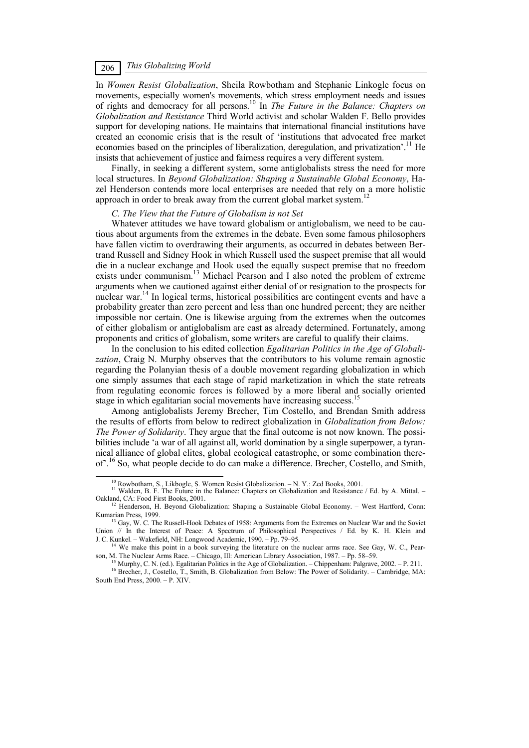In *Women Resist Globalization*, Sheila Rowbotham and Stephanie Linkogle focus on movements, especially women's movements, which stress employment needs and issues of rights and democracy for all persons.10 In *The Future in the Balance: Chapters on Globalization and Resistance* Third World activist and scholar Walden F. Bello provides support for developing nations. He maintains that international financial institutions have created an economic crisis that is the result of 'institutions that advocated free market economies based on the principles of liberalization, deregulation, and privatization'.<sup>11</sup> He insists that achievement of justice and fairness requires a very different system.

Finally, in seeking a different system, some antiglobalists stress the need for more local structures. In *Beyond Globalization: Shaping a Sustainable Global Economy*, Hazel Henderson contends more local enterprises are needed that rely on a more holistic approach in order to break away from the current global market system.<sup>12</sup>

#### *C. The View that the Future of Globalism is not Set*

Whatever attitudes we have toward globalism or antiglobalism, we need to be cautious about arguments from the extremes in the debate. Even some famous philosophers have fallen victim to overdrawing their arguments, as occurred in debates between Bertrand Russell and Sidney Hook in which Russell used the suspect premise that all would die in a nuclear exchange and Hook used the equally suspect premise that no freedom exists under communism.<sup>13</sup> Michael Pearson and I also noted the problem of extreme arguments when we cautioned against either denial of or resignation to the prospects for nuclear war.14 In logical terms, historical possibilities are contingent events and have a probability greater than zero percent and less than one hundred percent; they are neither impossible nor certain. One is likewise arguing from the extremes when the outcomes of either globalism or antiglobalism are cast as already determined. Fortunately, among proponents and critics of globalism, some writers are careful to qualify their claims.

In the conclusion to his edited collection *Egalitarian Politics in the Age of Globalization*, Craig N. Murphy observes that the contributors to his volume remain agnostic regarding the Polanyian thesis of a double movement regarding globalization in which one simply assumes that each stage of rapid marketization in which the state retreats from regulating economic forces is followed by a more liberal and socially oriented stage in which egalitarian social movements have increasing success.<sup>15</sup>

Among antiglobalists Jeremy Brecher, Tim Costello, and Brendan Smith address the results of efforts from below to redirect globalization in *Globalization from Below: The Power of Solidarity*. They argue that the final outcome is not now known. The possibilities include 'a war of all against all, world domination by a single superpower, a tyrannical alliance of global elites, global ecological catastrophe, or some combination thereof'.<sup>16</sup> So, what people decide to do can make a difference. Brecher, Costello, and Smith,

<sup>&</sup>lt;sup>10</sup> Rowbotham, S., Likbogle, S. Women Resist Globalization. – N. Y.: Zed Books, 2001.<br><sup>11</sup> Walden, B. F. The Future in the Balance: Chapters on Globalization and Resistance / Ed. by A. Mittal. – Oakland, CA: Food First B

<sup>&</sup>lt;sup>12</sup> Henderson, H. Beyond Globalization: Shaping a Sustainable Global Economy. – West Hartford, Conn: Kumarian Press, 1999.

<sup>&</sup>lt;sup>13</sup> Gay, W. C. The Russell-Hook Debates of 1958: Arguments from the Extremes on Nuclear War and the Soviet Union // In the Interest of Peace: A Spectrum of Philosophical Perspectives / Ed. by K. H. Klein and J. C. Kunkel. – Wakefield, NH: Longwood Academic, 1990. – Pp. 79–95.

 $^{14}$  We make this point in a book surveying the literature on the nuclear arms race. See Gay, W. C., Pearson, M. The Nuclear Arms Race. – Chicago, Ill: American Library Association, 1987. – Pp. 58–59.

<sup>&</sup>lt;sup>15</sup> Murphy, C. N. (ed.). Egalitarian Politics in the Age of Globalization. - Chippenham: Palgrave, 2002. - P. 211.<br><sup>16</sup> Brecher, J., Costello, T., Smith, B. Globalization from Below: The Power of Solidarity. - Cambridge, South End Press, 2000. – P. XIV.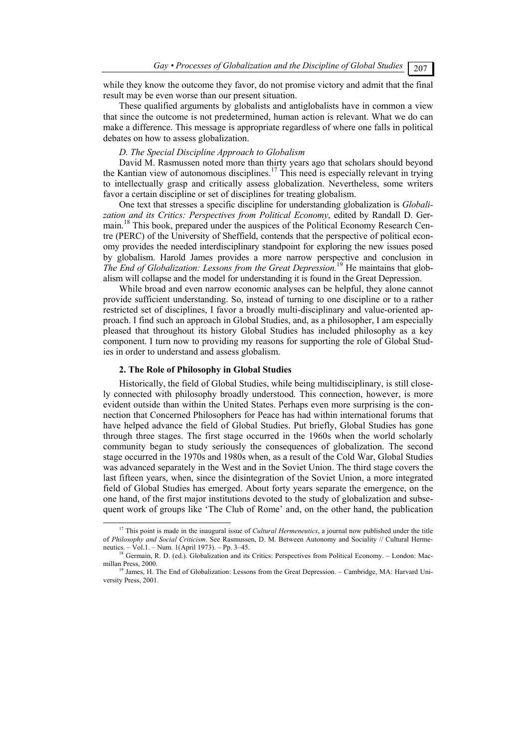while they know the outcome they favor, do not promise victory and admit that the final result may be even worse than our present situation.

These qualified arguments by globalists and antiglobalists have in common a view that since the outcome is not predetermined, human action is relevant. What we do can make a difference. This message is appropriate regardless of where one falls in political debates on how to assess globalization.

## *D. The Special Discipline Approach to Globalism*

David M. Rasmussen noted more than thirty years ago that scholars should beyond the Kantian view of autonomous disciplines.<sup>17</sup> This need is especially relevant in trying to intellectually grasp and critically assess globalization. Nevertheless, some writers favor a certain discipline or set of disciplines for treating globalism.

One text that stresses a specific discipline for understanding globalization is *Globalization and its Critics: Perspectives from Political Economy*, edited by Randall D. Germain.18 This book, prepared under the auspices of the Political Economy Research Centre (PERC) of the University of Sheffield, contends that the perspective of political economy provides the needed interdisciplinary standpoint for exploring the new issues posed by globalism. Harold James provides a more narrow perspective and conclusion in *The End of Globalization: Lessons from the Great Depression.*19 He maintains that globalism will collapse and the model for understanding it is found in the Great Depression.

While broad and even narrow economic analyses can be helpful, they alone cannot provide sufficient understanding. So, instead of turning to one discipline or to a rather restricted set of disciplines, I favor a broadly multi-disciplinary and value-oriented approach. I find such an approach in Global Studies, and, as a philosopher, I am especially pleased that throughout its history Global Studies has included philosophy as a key component. I turn now to providing my reasons for supporting the role of Global Studies in order to understand and assess globalism.

### **2. The Role of Philosophy in Global Studies**

Historically, the field of Global Studies, while being multidisciplinary, is still closely connected with philosophy broadly understood. This connection, however, is more evident outside than within the United States. Perhaps even more surprising is the connection that Concerned Philosophers for Peace has had within international forums that have helped advance the field of Global Studies. Put briefly, Global Studies has gone through three stages. The first stage occurred in the 1960s when the world scholarly community began to study seriously the consequences of globalization. The second stage occurred in the 1970s and 1980s when, as a result of the Cold War, Global Studies was advanced separately in the West and in the Soviet Union. The third stage covers the last fifteen years, when, since the disintegration of the Soviet Union, a more integrated field of Global Studies has emerged. About forty years separate the emergence, on the one hand, of the first major institutions devoted to the study of globalization and subsequent work of groups like 'The Club of Rome' and, on the other hand, the publication

<sup>&</sup>lt;sup>17</sup> This point is made in the inaugural issue of *Cultural Hermeneutics*, a journal now published under the title of *Philosophy and Social Criticism*. See Rasmussen, D. M. Between Autonomy and Sociality // Cultural Hermeneutics. – Vol.1. – Num. 1(April 1973). – Pp. 3–45.<br><sup>18</sup> Germain, R. D. (ed.). Globalization and its Critics: Perspectives from Political Economy. – London: Mac-

millan Press, 2000.<br><sup>19</sup> James, H. The End of Globalization: Lessons from the Great Depression. – Cambridge, MA: Harvard Uni-

versity Press, 2001.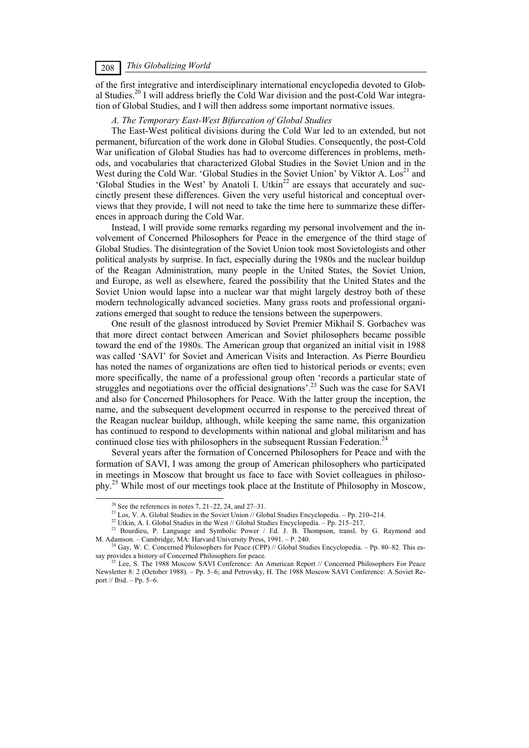# *This Globalizing World* 208

of the first integrative and interdisciplinary international encyclopedia devoted to Global Studies.20 I will address briefly the Cold War division and the post-Cold War integration of Global Studies, and I will then address some important normative issues.

#### *A. The Temporary East-West Bifurcation of Global Studies*

The East-West political divisions during the Cold War led to an extended, but not permanent, bifurcation of the work done in Global Studies. Consequently, the post-Cold War unification of Global Studies has had to overcome differences in problems, methods, and vocabularies that characterized Global Studies in the Soviet Union and in the West during the Cold War. 'Global Studies in the Soviet Union' by Viktor A.  $\text{Los}^{21}$  and 'Global Studies in the West' by Anatoli I. Utkin<sup>22</sup> are essays that accurately and succinctly present these differences. Given the very useful historical and conceptual overviews that they provide, I will not need to take the time here to summarize these differences in approach during the Cold War.

Instead, I will provide some remarks regarding my personal involvement and the involvement of Concerned Philosophers for Peace in the emergence of the third stage of Global Studies. The disintegration of the Soviet Union took most Sovietologists and other political analysts by surprise. In fact, especially during the 1980s and the nuclear buildup of the Reagan Administration, many people in the United States, the Soviet Union, and Europe, as well as elsewhere, feared the possibility that the United States and the Soviet Union would lapse into a nuclear war that might largely destroy both of these modern technologically advanced societies. Many grass roots and professional organizations emerged that sought to reduce the tensions between the superpowers.

One result of the glasnost introduced by Soviet Premier Mikhail S. Gorbachev was that more direct contact between American and Soviet philosophers became possible toward the end of the 1980s. The American group that organized an initial visit in 1988 was called 'SAVI' for Soviet and American Visits and Interaction. As Pierre Bourdieu has noted the names of organizations are often tied to historical periods or events; even more specifically, the name of a professional group often 'records a particular state of struggles and negotiations over the official designations'.23 Such was the case for SAVI and also for Concerned Philosophers for Peace. With the latter group the inception, the name, and the subsequent development occurred in response to the perceived threat of the Reagan nuclear buildup, although, while keeping the same name, this organization has continued to respond to developments within national and global militarism and has continued close ties with philosophers in the subsequent Russian Federation.<sup>24</sup>

Several years after the formation of Concerned Philosophers for Peace and with the formation of SAVI, I was among the group of American philosophers who participated in meetings in Moscow that brought us face to face with Soviet colleagues in philosophy.25 While most of our meetings took place at the Institute of Philosophy in Moscow,

<sup>&</sup>lt;sup>20</sup> See the references in notes 7, 21–22, 24, and 27–31.<br><sup>21</sup> Los, V. A. Global Studies in the Soviet Union // Global Studies Encyclopedia. – Pp. 210–214.

<sup>&</sup>lt;sup>22</sup> Utkin, A. I. Global Studies in the West // Global Studies Encyclopedia. - Pp. 215-217.<br><sup>23</sup> Bourdieu, P. Language and Symbolic Power / Ed. J. B. Thompson, transl. by G. Raymond and M. Adamson. - Cambridge, MA: Harvar

<sup>&</sup>lt;sup>24</sup> Gay, W. C. Concerned Philosophers for Peace (CPP) // Global Studies Encyclopedia. – Pp. 80–82. This es-<br>say provides a history of Concerned Philosophers for peace.<br> $\frac{25 \text{ kg}}{25 \text{ kg}}$ . The 1998 Measure SAY C. C.

Lee, S. The 1988 Moscow SAVI Conference: An American Report // Concerned Philosophers For Peace Newsletter 8: 2 (October 1988). – Pp. 5–6; and Petrovsky, H. The 1988 Moscow SAVI Conference: A Soviet Report // Ibid. – Pp. 5–6.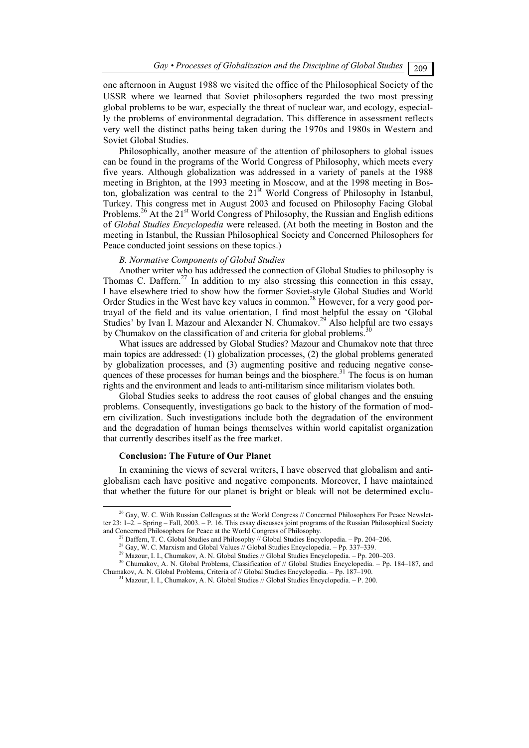*Gay • Processes of Globalization and the Discipline of Global Studies*  $\boxed{209}$ 

one afternoon in August 1988 we visited the office of the Philosophical Society of the USSR where we learned that Soviet philosophers regarded the two most pressing global problems to be war, especially the threat of nuclear war, and ecology, especially the problems of environmental degradation. This difference in assessment reflects very well the distinct paths being taken during the 1970s and 1980s in Western and Soviet Global Studies.

Philosophically, another measure of the attention of philosophers to global issues can be found in the programs of the World Congress of Philosophy, which meets every five years. Although globalization was addressed in a variety of panels at the 1988 meeting in Brighton, at the 1993 meeting in Moscow, and at the 1998 meeting in Boston, globalization was central to the 21<sup>st</sup> World Congress of Philosophy in Istanbul, Turkey. This congress met in August 2003 and focused on Philosophy Facing Global Problems.<sup>26</sup> At the 21<sup>st</sup> World Congress of Philosophy, the Russian and English editions of *Global Studies Encyclopedia* were released. (At both the meeting in Boston and the meeting in Istanbul, the Russian Philosophical Society and Concerned Philosophers for Peace conducted joint sessions on these topics.)

### *B. Normative Components of Global Studies*

Another writer who has addressed the connection of Global Studies to philosophy is Thomas C. Daffern.<sup>27</sup> In addition to my also stressing this connection in this essay, I have elsewhere tried to show how the former Soviet-style Global Studies and World Order Studies in the West have key values in common.<sup>28</sup> However, for a very good portrayal of the field and its value orientation, I find most helpful the essay on 'Global Studies' by Ivan I. Mazour and Alexander N. Chumakov.<sup>29</sup> Also helpful are two essays by Chumakov on the classification of and criteria for global problems.<sup>30</sup>

What issues are addressed by Global Studies? Mazour and Chumakov note that three main topics are addressed: (1) globalization processes, (2) the global problems generated by globalization processes, and (3) augmenting positive and reducing negative consequences of these processes for human beings and the biosphere.<sup>31</sup> The focus is on human rights and the environment and leads to anti-militarism since militarism violates both.

Global Studies seeks to address the root causes of global changes and the ensuing problems. Consequently, investigations go back to the history of the formation of modern civilization. Such investigations include both the degradation of the environment and the degradation of human beings themselves within world capitalist organization that currently describes itself as the free market.

#### **Conclusion: The Future of Our Planet**

In examining the views of several writers, I have observed that globalism and antiglobalism each have positive and negative components. Moreover, I have maintained that whether the future for our planet is bright or bleak will not be determined exclu-

 $^{26}$  Gay, W. C. With Russian Colleagues at the World Congress // Concerned Philosophers For Peace Newsletter 23: 1–2. – Spring – Fall, 2003. – P. 16. This essay discusses joint programs of the Russian Philosophical Society and Concerned Philosophers for Peace at the World Congress of Philosophy.

<sup>&</sup>lt;sup>27</sup> Daffern, T. C. Global Studies and Philosophy // Global Studies Encyclopedia. - Pp. 204-206.<br><sup>28</sup> Gay, W. C. Marxism and Global Values // Global Studies Encyclopedia. - Pp. 337-339.<br><sup>29</sup> Mazour, I. I., Chumakov, A. N.

 $^{31}$  Mazour, I. I., Chumakov, A. N. Global Studies // Global Studies Encyclopedia. – P. 200.